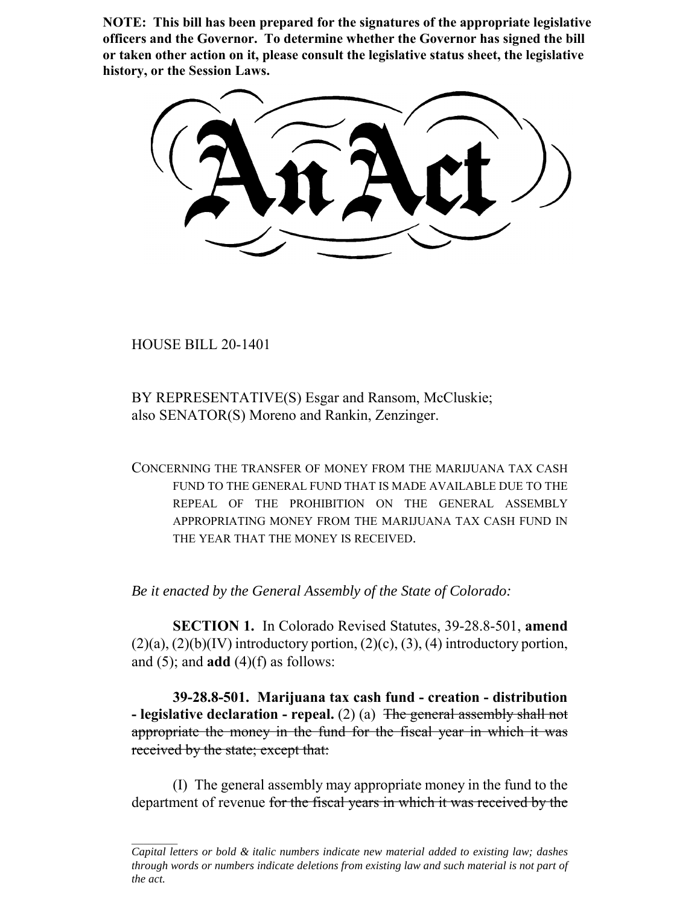**NOTE: This bill has been prepared for the signatures of the appropriate legislative officers and the Governor. To determine whether the Governor has signed the bill or taken other action on it, please consult the legislative status sheet, the legislative history, or the Session Laws.**

HOUSE BILL 20-1401

BY REPRESENTATIVE(S) Esgar and Ransom, McCluskie; also SENATOR(S) Moreno and Rankin, Zenzinger.

CONCERNING THE TRANSFER OF MONEY FROM THE MARIJUANA TAX CASH FUND TO THE GENERAL FUND THAT IS MADE AVAILABLE DUE TO THE REPEAL OF THE PROHIBITION ON THE GENERAL ASSEMBLY APPROPRIATING MONEY FROM THE MARIJUANA TAX CASH FUND IN THE YEAR THAT THE MONEY IS RECEIVED.

*Be it enacted by the General Assembly of the State of Colorado:*

**SECTION 1.** In Colorado Revised Statutes, 39-28.8-501, **amend**  $(2)(a)$ ,  $(2)(b)(IV)$  introductory portion,  $(2)(c)$ ,  $(3)$ ,  $(4)$  introductory portion, and  $(5)$ ; and **add**  $(4)$  $(f)$  as follows:

**39-28.8-501. Marijuana tax cash fund - creation - distribution - legislative declaration - repeal.** (2) (a) The general assembly shall not appropriate the money in the fund for the fiscal year in which it was received by the state; except that:

(I) The general assembly may appropriate money in the fund to the department of revenue for the fiscal years in which it was received by the

*Capital letters or bold & italic numbers indicate new material added to existing law; dashes through words or numbers indicate deletions from existing law and such material is not part of the act.*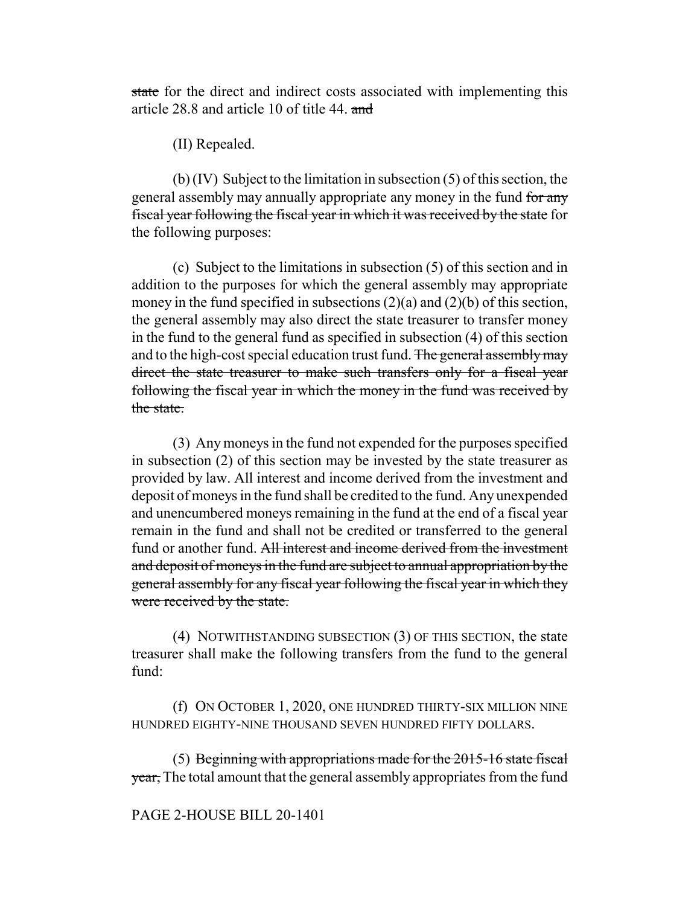state for the direct and indirect costs associated with implementing this article 28.8 and article 10 of title 44. and

(II) Repealed.

(b) (IV) Subject to the limitation in subsection (5) of this section, the general assembly may annually appropriate any money in the fund for any fiscal year following the fiscal year in which it was received by the state for the following purposes:

(c) Subject to the limitations in subsection (5) of this section and in addition to the purposes for which the general assembly may appropriate money in the fund specified in subsections  $(2)(a)$  and  $(2)(b)$  of this section, the general assembly may also direct the state treasurer to transfer money in the fund to the general fund as specified in subsection (4) of this section and to the high-cost special education trust fund. The general assembly may direct the state treasurer to make such transfers only for a fiscal year following the fiscal year in which the money in the fund was received by the state.

(3) Any moneys in the fund not expended for the purposes specified in subsection (2) of this section may be invested by the state treasurer as provided by law. All interest and income derived from the investment and deposit of moneys in the fund shall be credited to the fund. Any unexpended and unencumbered moneys remaining in the fund at the end of a fiscal year remain in the fund and shall not be credited or transferred to the general fund or another fund. All interest and income derived from the investment and deposit of moneys in the fund are subject to annual appropriation by the general assembly for any fiscal year following the fiscal year in which they were received by the state.

(4) NOTWITHSTANDING SUBSECTION (3) OF THIS SECTION, the state treasurer shall make the following transfers from the fund to the general fund:

(f) ON OCTOBER 1, 2020, ONE HUNDRED THIRTY-SIX MILLION NINE HUNDRED EIGHTY-NINE THOUSAND SEVEN HUNDRED FIFTY DOLLARS.

(5) Beginning with appropriations made for the 2015-16 state fiscal year, The total amount that the general assembly appropriates from the fund

## PAGE 2-HOUSE BILL 20-1401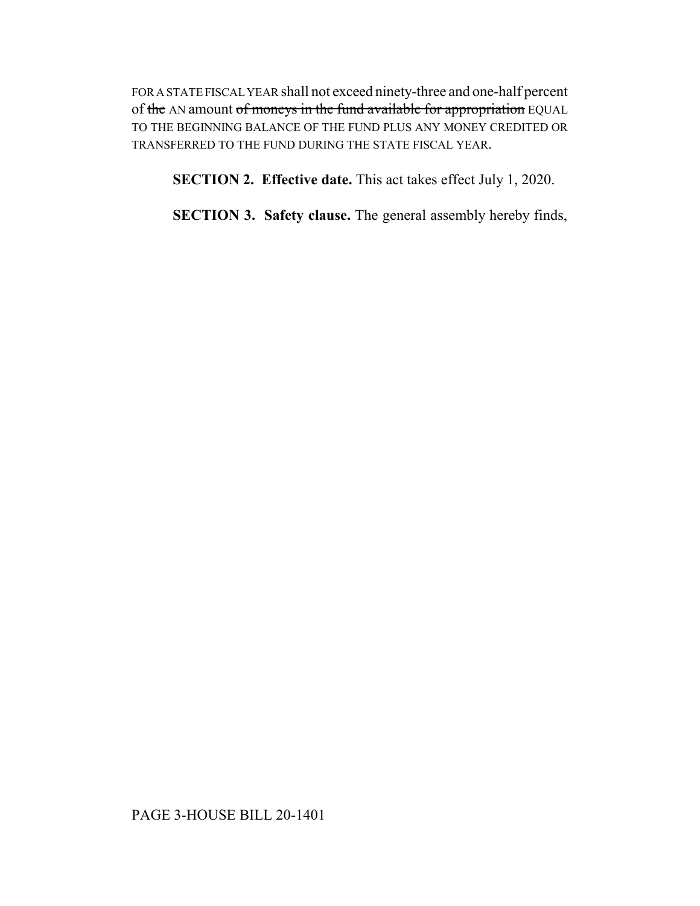FOR A STATE FISCAL YEAR shall not exceed ninety-three and one-half percent of the AN amount of moneys in the fund available for appropriation EQUAL TO THE BEGINNING BALANCE OF THE FUND PLUS ANY MONEY CREDITED OR TRANSFERRED TO THE FUND DURING THE STATE FISCAL YEAR.

**SECTION 2. Effective date.** This act takes effect July 1, 2020.

**SECTION 3. Safety clause.** The general assembly hereby finds,